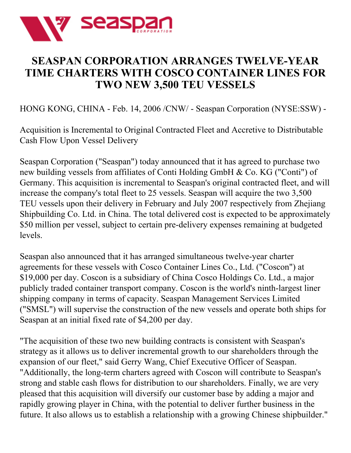

## **SEASPAN CORPORATION ARRANGES TWELVE-YEAR TIME CHARTERS WITH COSCO CONTAINER LINES FOR TWO NEW 3,500 TEU VESSELS**

HONG KONG, CHINA - Feb. 14, 2006 /CNW/ - Seaspan Corporation (NYSE:SSW) -

Acquisition is Incremental to Original Contracted Fleet and Accretive to Distributable Cash Flow Upon Vessel Delivery

Seaspan Corporation ("Seaspan") today announced that it has agreed to purchase two new building vessels from affiliates of Conti Holding GmbH & Co. KG ("Conti") of Germany. This acquisition is incremental to Seaspan's original contracted fleet, and will increase the company's total fleet to 25 vessels. Seaspan will acquire the two 3,500 TEU vessels upon their delivery in February and July 2007 respectively from Zhejiang Shipbuilding Co. Ltd. in China. The total delivered cost is expected to be approximately \$50 million per vessel, subject to certain pre-delivery expenses remaining at budgeted levels.

Seaspan also announced that it has arranged simultaneous twelve-year charter agreements for these vessels with Cosco Container Lines Co., Ltd. ("Coscon") at \$19,000 per day. Coscon is a subsidiary of China Cosco Holdings Co. Ltd., a major publicly traded container transport company. Coscon is the world's ninth-largest liner shipping company in terms of capacity. Seaspan Management Services Limited ("SMSL") will supervise the construction of the new vessels and operate both ships for Seaspan at an initial fixed rate of \$4,200 per day.

"The acquisition of these two new building contracts is consistent with Seaspan's strategy as it allows us to deliver incremental growth to our shareholders through the expansion of our fleet," said Gerry Wang, Chief Executive Officer of Seaspan. "Additionally, the long-term charters agreed with Coscon will contribute to Seaspan's strong and stable cash flows for distribution to our shareholders. Finally, we are very pleased that this acquisition will diversify our customer base by adding a major and rapidly growing player in China, with the potential to deliver further business in the future. It also allows us to establish a relationship with a growing Chinese shipbuilder."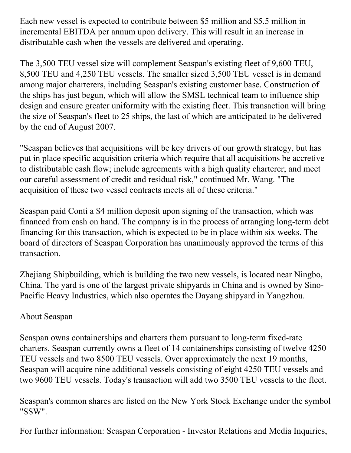Each new vessel is expected to contribute between \$5 million and \$5.5 million in incremental EBITDA per annum upon delivery. This will result in an increase in distributable cash when the vessels are delivered and operating.

The 3,500 TEU vessel size will complement Seaspan's existing fleet of 9,600 TEU, 8,500 TEU and 4,250 TEU vessels. The smaller sized 3,500 TEU vessel is in demand among major charterers, including Seaspan's existing customer base. Construction of the ships has just begun, which will allow the SMSL technical team to influence ship design and ensure greater uniformity with the existing fleet. This transaction will bring the size of Seaspan's fleet to 25 ships, the last of which are anticipated to be delivered by the end of August 2007.

"Seaspan believes that acquisitions will be key drivers of our growth strategy, but has put in place specific acquisition criteria which require that all acquisitions be accretive to distributable cash flow; include agreements with a high quality charterer; and meet our careful assessment of credit and residual risk," continued Mr. Wang. "The acquisition of these two vessel contracts meets all of these criteria."

Seaspan paid Conti a \$4 million deposit upon signing of the transaction, which was financed from cash on hand. The company is in the process of arranging long-term debt financing for this transaction, which is expected to be in place within six weeks. The board of directors of Seaspan Corporation has unanimously approved the terms of this transaction.

Zhejiang Shipbuilding, which is building the two new vessels, is located near Ningbo, China. The yard is one of the largest private shipyards in China and is owned by Sino-Pacific Heavy Industries, which also operates the Dayang shipyard in Yangzhou.

## About Seaspan

Seaspan owns containerships and charters them pursuant to long-term fixed-rate charters. Seaspan currently owns a fleet of 14 containerships consisting of twelve 4250 TEU vessels and two 8500 TEU vessels. Over approximately the next 19 months, Seaspan will acquire nine additional vessels consisting of eight 4250 TEU vessels and two 9600 TEU vessels. Today's transaction will add two 3500 TEU vessels to the fleet.

Seaspan's common shares are listed on the New York Stock Exchange under the symbol "SSW".

For further information: Seaspan Corporation - Investor Relations and Media Inquiries,